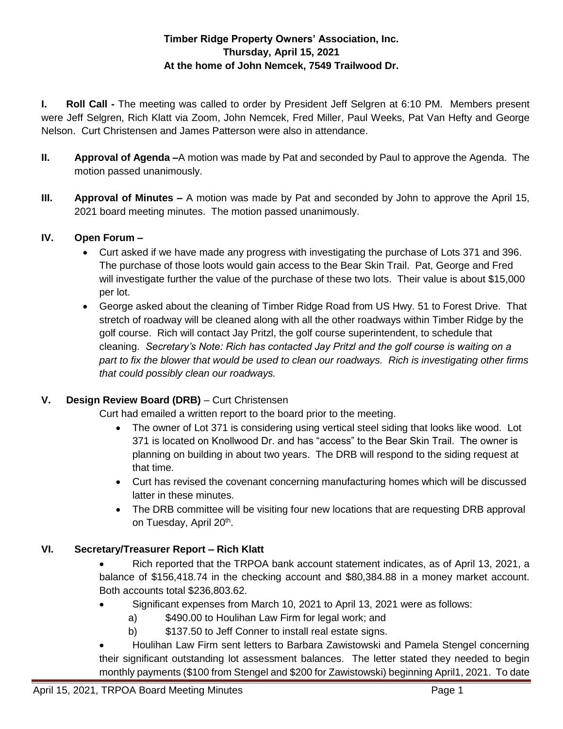## **Timber Ridge Property Owners' Association, Inc. Thursday, April 15, 2021 At the home of John Nemcek, 7549 Trailwood Dr.**

**I. Roll Call -** The meeting was called to order by President Jeff Selgren at 6:10 PM. Members present were Jeff Selgren, Rich Klatt via Zoom, John Nemcek, Fred Miller, Paul Weeks, Pat Van Hefty and George Nelson. Curt Christensen and James Patterson were also in attendance.

- **II. Approval of Agenda –**A motion was made by Pat and seconded by Paul to approve the Agenda. The motion passed unanimously.
- **III. Approval of Minutes –** A motion was made by Pat and seconded by John to approve the April 15, 2021 board meeting minutes. The motion passed unanimously.

## **IV. Open Forum –**

- Curt asked if we have made any progress with investigating the purchase of Lots 371 and 396. The purchase of those loots would gain access to the Bear Skin Trail. Pat, George and Fred will investigate further the value of the purchase of these two lots. Their value is about \$15,000 per lot.
- George asked about the cleaning of Timber Ridge Road from US Hwy. 51 to Forest Drive. That stretch of roadway will be cleaned along with all the other roadways within Timber Ridge by the golf course. Rich will contact Jay Pritzl, the golf course superintendent, to schedule that cleaning. *Secretary's Note: Rich has contacted Jay Pritzl and the golf course is waiting on a part to fix the blower that would be used to clean our roadways. Rich is investigating other firms that could possibly clean our roadways.*

# **V. Design Review Board (DRB)** – Curt Christensen

Curt had emailed a written report to the board prior to the meeting.

- The owner of Lot 371 is considering using vertical steel siding that looks like wood. Lot 371 is located on Knollwood Dr. and has "access" to the Bear Skin Trail. The owner is planning on building in about two years. The DRB will respond to the siding request at that time.
- Curt has revised the covenant concerning manufacturing homes which will be discussed latter in these minutes.
- The DRB committee will be visiting four new locations that are requesting DRB approval on Tuesday, April 20<sup>th</sup>.

# **VI. Secretary/Treasurer Report – Rich Klatt**

- Rich reported that the TRPOA bank account statement indicates, as of April 13, 2021, a balance of \$156,418.74 in the checking account and \$80,384.88 in a money market account. Both accounts total \$236,803.62.
- Significant expenses from March 10, 2021 to April 13, 2021 were as follows:
	- a) \$490.00 to Houlihan Law Firm for legal work; and
	- b) \$137.50 to Jeff Conner to install real estate signs.

 Houlihan Law Firm sent letters to Barbara Zawistowski and Pamela Stengel concerning their significant outstanding lot assessment balances. The letter stated they needed to begin monthly payments (\$100 from Stengel and \$200 for Zawistowski) beginning April1, 2021. To date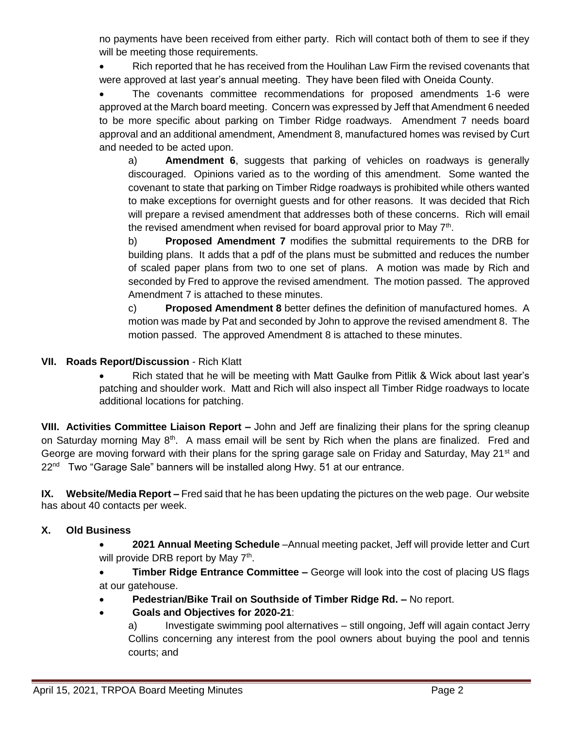no payments have been received from either party. Rich will contact both of them to see if they will be meeting those requirements.

• Rich reported that he has received from the Houlihan Law Firm the revised covenants that were approved at last year's annual meeting. They have been filed with Oneida County.

 The covenants committee recommendations for proposed amendments 1-6 were approved at the March board meeting. Concern was expressed by Jeff that Amendment 6 needed to be more specific about parking on Timber Ridge roadways. Amendment 7 needs board approval and an additional amendment, Amendment 8, manufactured homes was revised by Curt and needed to be acted upon.

a) **Amendment 6**, suggests that parking of vehicles on roadways is generally discouraged. Opinions varied as to the wording of this amendment. Some wanted the covenant to state that parking on Timber Ridge roadways is prohibited while others wanted to make exceptions for overnight guests and for other reasons. It was decided that Rich will prepare a revised amendment that addresses both of these concerns. Rich will email the revised amendment when revised for board approval prior to May  $7<sup>th</sup>$ .

b) **Proposed Amendment 7** modifies the submittal requirements to the DRB for building plans. It adds that a pdf of the plans must be submitted and reduces the number of scaled paper plans from two to one set of plans. A motion was made by Rich and seconded by Fred to approve the revised amendment. The motion passed. The approved Amendment 7 is attached to these minutes.

c) **Proposed Amendment 8** better defines the definition of manufactured homes. A motion was made by Pat and seconded by John to approve the revised amendment 8. The motion passed. The approved Amendment 8 is attached to these minutes.

## **VII. Roads Report/Discussion** - Rich Klatt

• Rich stated that he will be meeting with Matt Gaulke from Pitlik & Wick about last year's patching and shoulder work. Matt and Rich will also inspect all Timber Ridge roadways to locate additional locations for patching.

**VIII. Activities Committee Liaison Report –** John and Jeff are finalizing their plans for the spring cleanup on Saturday morning May 8<sup>th</sup>. A mass email will be sent by Rich when the plans are finalized. Fred and George are moving forward with their plans for the spring garage sale on Friday and Saturday, May 21<sup>st</sup> and 22<sup>nd</sup> Two "Garage Sale" banners will be installed along Hwy. 51 at our entrance.

**IX. Website/Media Report –** Fred said that he has been updating the pictures on the web page. Our website has about 40 contacts per week.

### **X. Old Business**

 **2021 Annual Meeting Schedule** –Annual meeting packet, Jeff will provide letter and Curt will provide DRB report by May 7<sup>th</sup>.

**Timber Ridge Entrance Committee –** George will look into the cost of placing US flags at our gatehouse.

- **Pedestrian/Bike Trail on Southside of Timber Ridge Rd. –** No report.
- **Goals and Objectives for 2020-21**:

a) Investigate swimming pool alternatives – still ongoing, Jeff will again contact Jerry Collins concerning any interest from the pool owners about buying the pool and tennis courts; and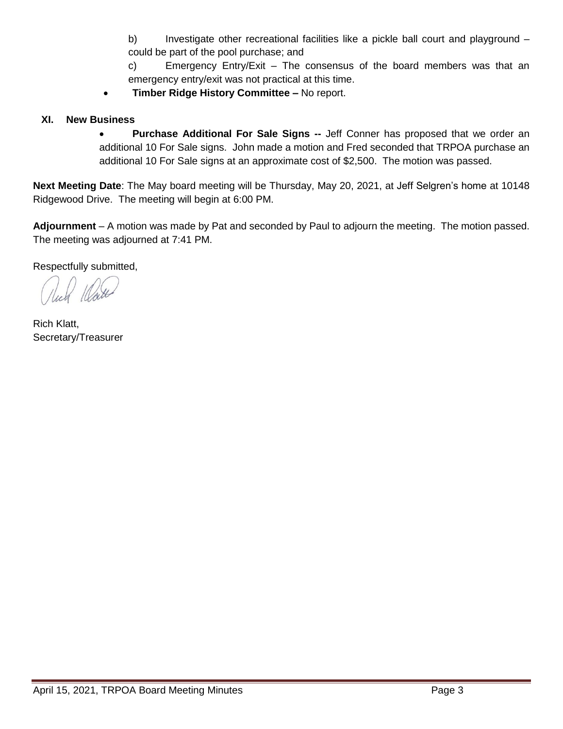b) Investigate other recreational facilities like a pickle ball court and playground – could be part of the pool purchase; and

c) Emergency Entry/Exit – The consensus of the board members was that an emergency entry/exit was not practical at this time.

**Timber Ridge History Committee –** No report.

### **XI. New Business**

**•** Purchase Additional For Sale Signs -- Jeff Conner has proposed that we order an additional 10 For Sale signs. John made a motion and Fred seconded that TRPOA purchase an additional 10 For Sale signs at an approximate cost of \$2,500. The motion was passed.

**Next Meeting Date**: The May board meeting will be Thursday, May 20, 2021, at Jeff Selgren's home at 10148 Ridgewood Drive. The meeting will begin at 6:00 PM.

**Adjournment** – A motion was made by Pat and seconded by Paul to adjourn the meeting. The motion passed. The meeting was adjourned at 7:41 PM.

Respectfully submitted,

Rich Klatt, Secretary/Treasurer